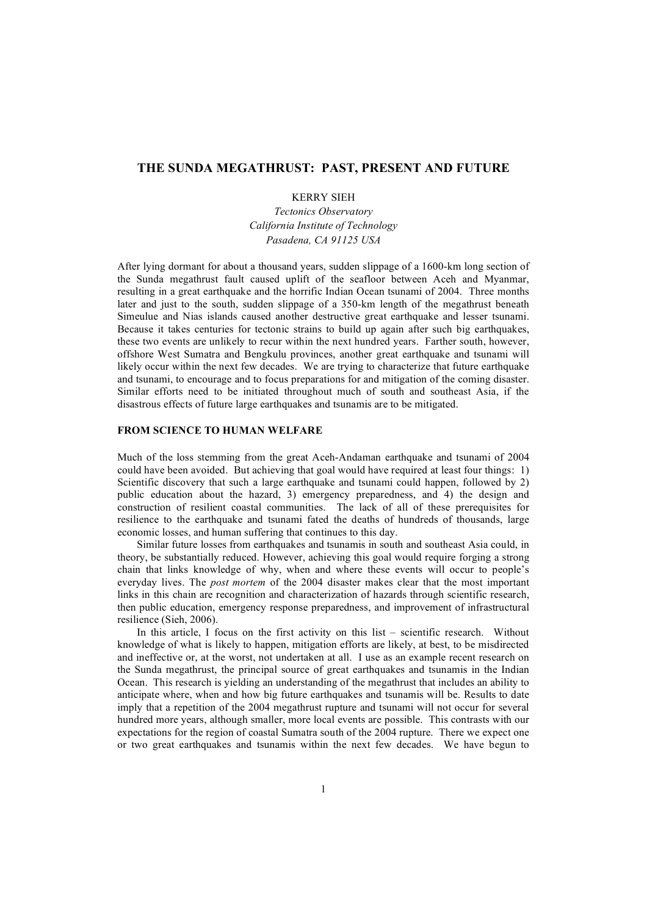# **THE SUNDA MEGATHRUST: PAST, PRESENT AND FUTURE**

KERRY SIEH

*Tectonics Observatory California Institute of Technology Pasadena, CA 91125 USA*

After lying dormant for about a thousand years, sudden slippage of a 1600-km long section of the Sunda megathrust fault caused uplift of the seafloor between Aceh and Myanmar, resulting in a great earthquake and the horrific Indian Ocean tsunami of 2004. Three months later and just to the south, sudden slippage of a 350-km length of the megathrust beneath Simeulue and Nias islands caused another destructive great earthquake and lesser tsunami. Because it takes centuries for tectonic strains to build up again after such big earthquakes, these two events are unlikely to recur within the next hundred years. Farther south, however, offshore West Sumatra and Bengkulu provinces, another great earthquake and tsunami will likely occur within the next few decades. We are trying to characterize that future earthquake and tsunami, to encourage and to focus preparations for and mitigation of the coming disaster. Similar efforts need to be initiated throughout much of south and southeast Asia, if the disastrous effects of future large earthquakes and tsunamis are to be mitigated.

### **FROM SCIENCE TO HUMAN WELFARE**

Much of the loss stemming from the great Aceh-Andaman earthquake and tsunami of 2004 could have been avoided. But achieving that goal would have required at least four things: 1) Scientific discovery that such a large earthquake and tsunami could happen, followed by 2) public education about the hazard, 3) emergency preparedness, and 4) the design and construction of resilient coastal communities. The lack of all of these prerequisites for resilience to the earthquake and tsunami fated the deaths of hundreds of thousands, large economic losses, and human suffering that continues to this day.

Similar future losses from earthquakes and tsunamis in south and southeast Asia could, in theory, be substantially reduced. However, achieving this goal would require forging a strong chain that links knowledge of why, when and where these events will occur to people's everyday lives. The *post mortem* of the 2004 disaster makes clear that the most important links in this chain are recognition and characterization of hazards through scientific research, then public education, emergency response preparedness, and improvement of infrastructural resilience (Sieh, 2006).

In this article, I focus on the first activity on this list – scientific research. Without knowledge of what is likely to happen, mitigation efforts are likely, at best, to be misdirected and ineffective or, at the worst, not undertaken at all. I use as an example recent research on the Sunda megathrust, the principal source of great earthquakes and tsunamis in the Indian Ocean. This research is yielding an understanding of the megathrust that includes an ability to anticipate where, when and how big future earthquakes and tsunamis will be. Results to date imply that a repetition of the 2004 megathrust rupture and tsunami will not occur for several hundred more years, although smaller, more local events are possible. This contrasts with our expectations for the region of coastal Sumatra south of the 2004 rupture. There we expect one or two great earthquakes and tsunamis within the next few decades. We have begun to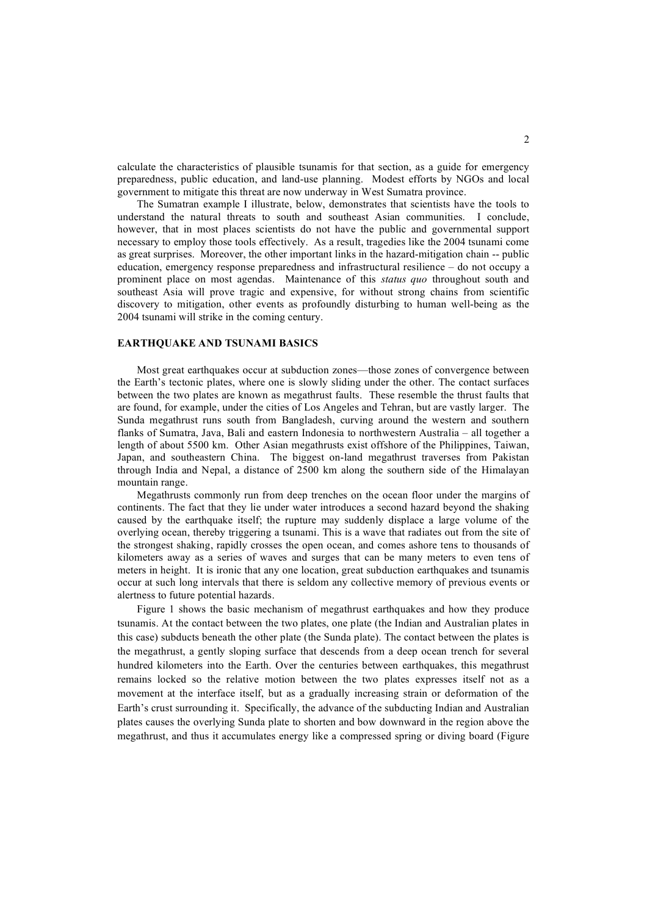calculate the characteristics of plausible tsunamis for that section, as a guide for emergency preparedness, public education, and land-use planning. Modest efforts by NGOs and local government to mitigate this threat are now underway in West Sumatra province.

The Sumatran example I illustrate, below, demonstrates that scientists have the tools to understand the natural threats to south and southeast Asian communities. I conclude, however, that in most places scientists do not have the public and governmental support necessary to employ those tools effectively. As a result, tragedies like the 2004 tsunami come as great surprises. Moreover, the other important links in the hazard-mitigation chain -- public education, emergency response preparedness and infrastructural resilience – do not occupy a prominent place on most agendas. Maintenance of this *status quo* throughout south and southeast Asia will prove tragic and expensive, for without strong chains from scientific discovery to mitigation, other events as profoundly disturbing to human well-being as the 2004 tsunami will strike in the coming century.

### **EARTHQUAKE AND TSUNAMI BASICS**

Most great earthquakes occur at subduction zones—those zones of convergence between the Earth's tectonic plates, where one is slowly sliding under the other. The contact surfaces between the two plates are known as megathrust faults. These resemble the thrust faults that are found, for example, under the cities of Los Angeles and Tehran, but are vastly larger. The Sunda megathrust runs south from Bangladesh, curving around the western and southern flanks of Sumatra, Java, Bali and eastern Indonesia to northwestern Australia – all together a length of about 5500 km. Other Asian megathrusts exist offshore of the Philippines, Taiwan, Japan, and southeastern China. The biggest on-land megathrust traverses from Pakistan through India and Nepal, a distance of 2500 km along the southern side of the Himalayan mountain range.

Megathrusts commonly run from deep trenches on the ocean floor under the margins of continents. The fact that they lie under water introduces a second hazard beyond the shaking caused by the earthquake itself; the rupture may suddenly displace a large volume of the overlying ocean, thereby triggering a tsunami. This is a wave that radiates out from the site of the strongest shaking, rapidly crosses the open ocean, and comes ashore tens to thousands of kilometers away as a series of waves and surges that can be many meters to even tens of meters in height. It is ironic that any one location, great subduction earthquakes and tsunamis occur at such long intervals that there is seldom any collective memory of previous events or alertness to future potential hazards.

Figure 1 shows the basic mechanism of megathrust earthquakes and how they produce tsunamis. At the contact between the two plates, one plate (the Indian and Australian plates in this case) subducts beneath the other plate (the Sunda plate). The contact between the plates is the megathrust, a gently sloping surface that descends from a deep ocean trench for several hundred kilometers into the Earth. Over the centuries between earthquakes, this megathrust remains locked so the relative motion between the two plates expresses itself not as a movement at the interface itself, but as a gradually increasing strain or deformation of the Earth's crust surrounding it. Specifically, the advance of the subducting Indian and Australian plates causes the overlying Sunda plate to shorten and bow downward in the region above the megathrust, and thus it accumulates energy like a compressed spring or diving board (Figure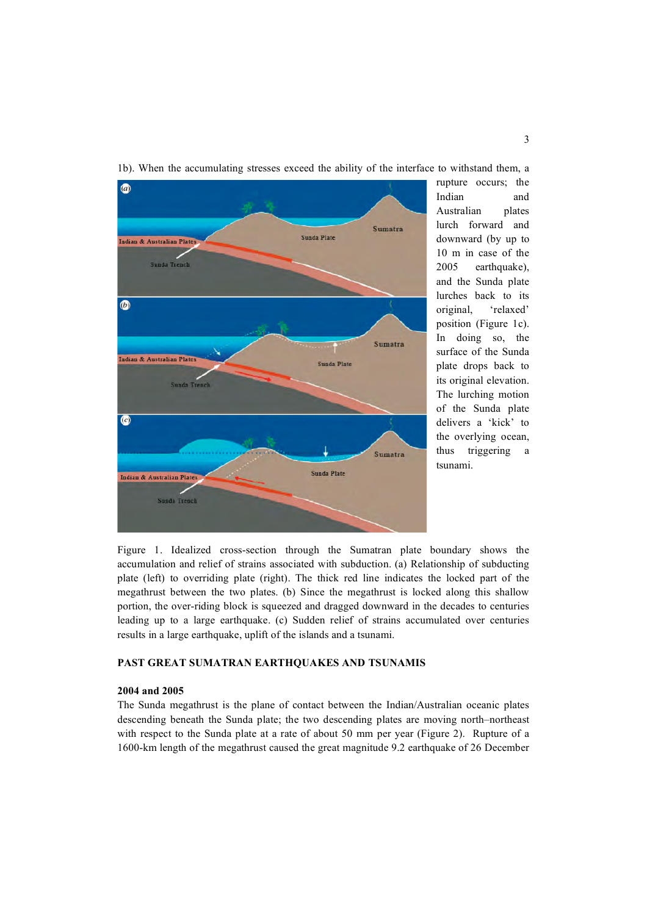

1b). When the accumulating stresses exceed the ability of the interface to withstand them, a

rupture occurs; the Indian and Australian plates lurch forward and downward (by up to 10 m in case of the 2005 earthquake), and the Sunda plate lurches back to its original, 'relaxed' position (Figure 1c). In doing so, the surface of the Sunda plate drops back to its original elevation. The lurching motion of the Sunda plate delivers a 'kick' to the overlying ocean, thus triggering a tsunami.

Figure 1. Idealized cross-section through the Sumatran plate boundary shows the accumulation and relief of strains associated with subduction. (a) Relationship of subducting plate (left) to overriding plate (right). The thick red line indicates the locked part of the megathrust between the two plates. (b) Since the megathrust is locked along this shallow portion, the over-riding block is squeezed and dragged downward in the decades to centuries leading up to a large earthquake. (c) Sudden relief of strains accumulated over centuries results in a large earthquake, uplift of the islands and a tsunami.

## **PAST GREAT SUMATRAN EARTHQUAKES AND TSUNAMIS**

## **2004 and 2005**

The Sunda megathrust is the plane of contact between the Indian/Australian oceanic plates descending beneath the Sunda plate; the two descending plates are moving north–northeast with respect to the Sunda plate at a rate of about 50 mm per year (Figure 2). Rupture of a 1600-km length of the megathrust caused the great magnitude 9.2 earthquake of 26 December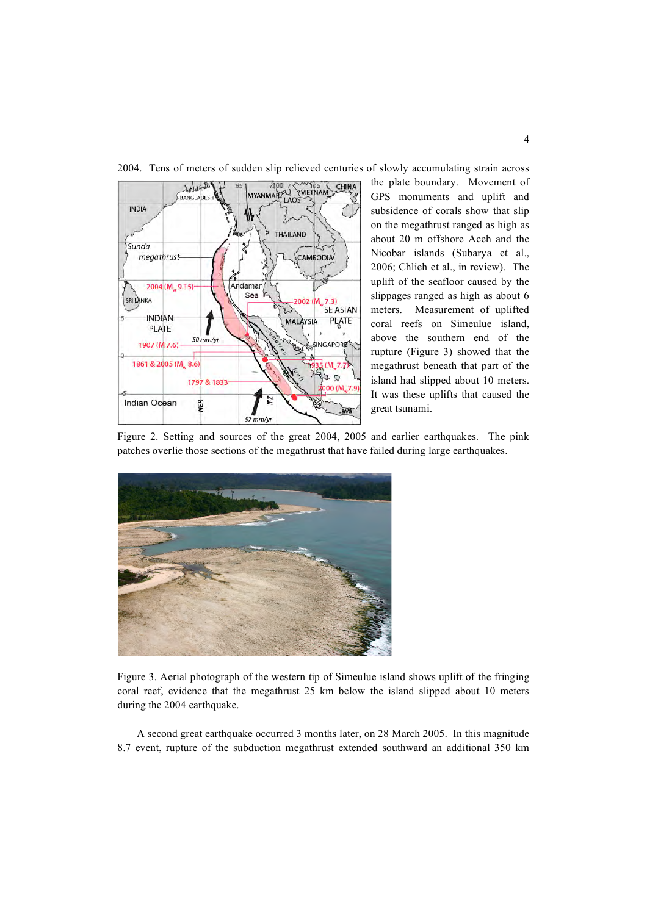![](_page_3_Figure_0.jpeg)

2004. Tens of meters of sudden slip relieved centuries of slowly accumulating strain across

the plate boundary. Movement of GPS monuments and uplift and subsidence of corals show that slip on the megathrust ranged as high as about 20 m offshore Aceh and the Nicobar islands (Subarya et al., 2006; Chlieh et al., in review). The uplift of the seafloor caused by the slippages ranged as high as about 6 meters. Measurement of uplifted coral reefs on Simeulue island, above the southern end of the rupture (Figure 3) showed that the megathrust beneath that part of the island had slipped about 10 meters. It was these uplifts that caused the great tsunami.

Figure 2. Setting and sources of the great 2004, 2005 and earlier earthquakes. The pink patches overlie those sections of the megathrust that have failed during large earthquakes.

![](_page_3_Picture_4.jpeg)

Figure 3. Aerial photograph of the western tip of Simeulue island shows uplift of the fringing coral reef, evidence that the megathrust 25 km below the island slipped about 10 meters during the 2004 earthquake.

A second great earthquake occurred 3 months later, on 28 March 2005. In this magnitude 8.7 event, rupture of the subduction megathrust extended southward an additional 350 km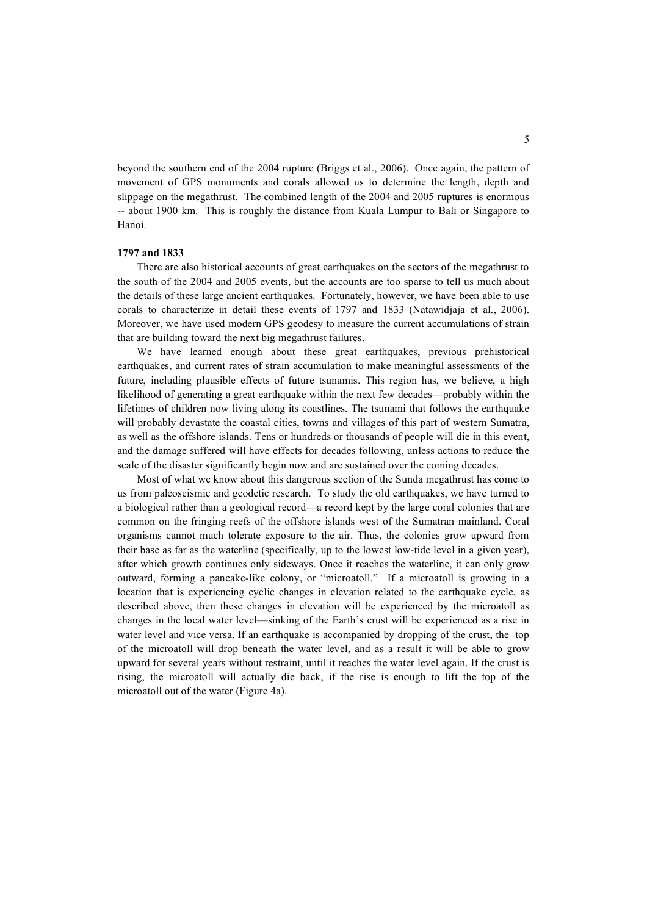beyond the southern end of the 2004 rupture (Briggs et al., 2006). Once again, the pattern of movement of GPS monuments and corals allowed us to determine the length, depth and slippage on the megathrust. The combined length of the 2004 and 2005 ruptures is enormous -- about 1900 km. This is roughly the distance from Kuala Lumpur to Bali or Singapore to Hanoi.

### **1797 and 1833**

There are also historical accounts of great earthquakes on the sectors of the megathrust to the south of the 2004 and 2005 events, but the accounts are too sparse to tell us much about the details of these large ancient earthquakes. Fortunately, however, we have been able to use corals to characterize in detail these events of 1797 and 1833 (Natawidjaja et al., 2006). Moreover, we have used modern GPS geodesy to measure the current accumulations of strain that are building toward the next big megathrust failures.

We have learned enough about these great earthquakes, previous prehistorical earthquakes, and current rates of strain accumulation to make meaningful assessments of the future, including plausible effects of future tsunamis. This region has, we believe, a high likelihood of generating a great earthquake within the next few decades—probably within the lifetimes of children now living along its coastlines. The tsunami that follows the earthquake will probably devastate the coastal cities, towns and villages of this part of western Sumatra, as well as the offshore islands. Tens or hundreds or thousands of people will die in this event, and the damage suffered will have effects for decades following, unless actions to reduce the scale of the disaster significantly begin now and are sustained over the coming decades.

Most of what we know about this dangerous section of the Sunda megathrust has come to us from paleoseismic and geodetic research. To study the old earthquakes, we have turned to a biological rather than a geological record—a record kept by the large coral colonies that are common on the fringing reefs of the offshore islands west of the Sumatran mainland. Coral organisms cannot much tolerate exposure to the air. Thus, the colonies grow upward from their base as far as the waterline (specifically, up to the lowest low-tide level in a given year), after which growth continues only sideways. Once it reaches the waterline, it can only grow outward, forming a pancake-like colony, or "microatoll." If a microatoll is growing in a location that is experiencing cyclic changes in elevation related to the earthquake cycle, as described above, then these changes in elevation will be experienced by the microatoll as changes in the local water level—sinking of the Earth's crust will be experienced as a rise in water level and vice versa. If an earthquake is accompanied by dropping of the crust, the top of the microatoll will drop beneath the water level, and as a result it will be able to grow upward for several years without restraint, until it reaches the water level again. If the crust is rising, the microatoll will actually die back, if the rise is enough to lift the top of the microatoll out of the water (Figure 4a).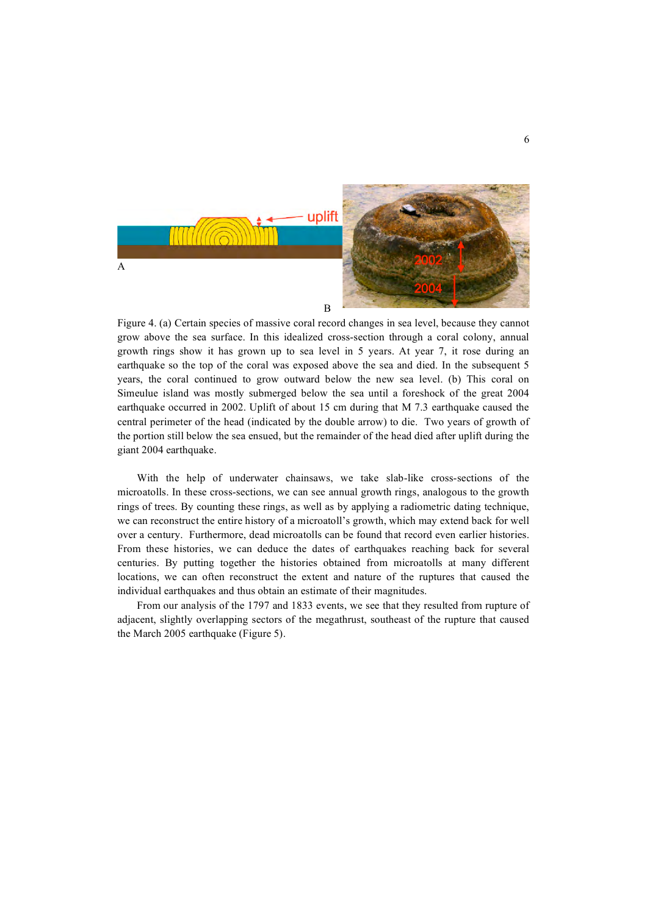![](_page_5_Picture_0.jpeg)

Figure 4. (a) Certain species of massive coral record changes in sea level, because they cannot grow above the sea surface. In this idealized cross-section through a coral colony, annual growth rings show it has grown up to sea level in 5 years. At year 7, it rose during an earthquake so the top of the coral was exposed above the sea and died. In the subsequent 5 years, the coral continued to grow outward below the new sea level. (b) This coral on Simeulue island was mostly submerged below the sea until a foreshock of the great 2004 earthquake occurred in 2002. Uplift of about 15 cm during that M 7.3 earthquake caused the central perimeter of the head (indicated by the double arrow) to die. Two years of growth of the portion still below the sea ensued, but the remainder of the head died after uplift during the giant 2004 earthquake.

With the help of underwater chainsaws, we take slab-like cross-sections of the microatolls. In these cross-sections, we can see annual growth rings, analogous to the growth rings of trees. By counting these rings, as well as by applying a radiometric dating technique, we can reconstruct the entire history of a microatoll's growth, which may extend back for well over a century. Furthermore, dead microatolls can be found that record even earlier histories. From these histories, we can deduce the dates of earthquakes reaching back for several centuries. By putting together the histories obtained from microatolls at many different locations, we can often reconstruct the extent and nature of the ruptures that caused the individual earthquakes and thus obtain an estimate of their magnitudes.

From our analysis of the 1797 and 1833 events, we see that they resulted from rupture of adjacent, slightly overlapping sectors of the megathrust, southeast of the rupture that caused the March 2005 earthquake (Figure 5).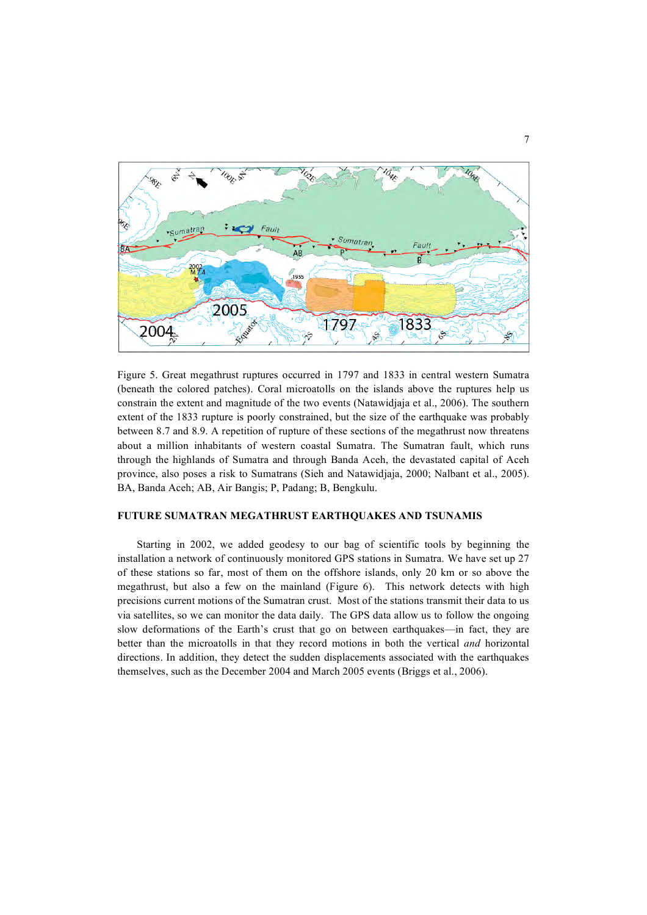![](_page_6_Picture_0.jpeg)

Figure 5. Great megathrust ruptures occurred in 1797 and 1833 in central western Sumatra (beneath the colored patches). Coral microatolls on the islands above the ruptures help us constrain the extent and magnitude of the two events (Natawidjaja et al., 2006). The southern extent of the 1833 rupture is poorly constrained, but the size of the earthquake was probably between 8.7 and 8.9. A repetition of rupture of these sections of the megathrust now threatens about a million inhabitants of western coastal Sumatra. The Sumatran fault, which runs through the highlands of Sumatra and through Banda Aceh, the devastated capital of Aceh province, also poses a risk to Sumatrans (Sieh and Natawidjaja, 2000; Nalbant et al., 2005). BA, Banda Aceh; AB, Air Bangis; P, Padang; B, Bengkulu.

## **FUTURE SUMATRAN MEGATHRUST EARTHQUAKES AND TSUNAMIS**

Starting in 2002, we added geodesy to our bag of scientific tools by beginning the installation a network of continuously monitored GPS stations in Sumatra. We have set up 27 of these stations so far, most of them on the offshore islands, only 20 km or so above the megathrust, but also a few on the mainland (Figure 6). This network detects with high precisions current motions of the Sumatran crust. Most of the stations transmit their data to us via satellites, so we can monitor the data daily. The GPS data allow us to follow the ongoing slow deformations of the Earth's crust that go on between earthquakes—in fact, they are better than the microatolls in that they record motions in both the vertical *and* horizontal directions. In addition, they detect the sudden displacements associated with the earthquakes themselves, such as the December 2004 and March 2005 events (Briggs et al., 2006).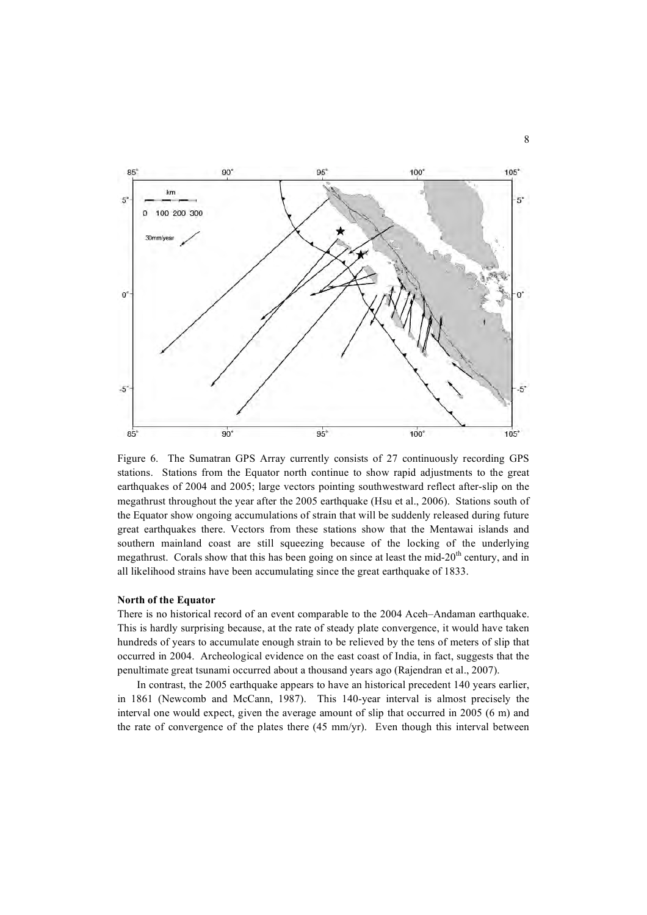![](_page_7_Figure_0.jpeg)

Figure 6. The Sumatran GPS Array currently consists of 27 continuously recording GPS stations. Stations from the Equator north continue to show rapid adjustments to the great earthquakes of 2004 and 2005; large vectors pointing southwestward reflect after-slip on the megathrust throughout the year after the 2005 earthquake (Hsu et al., 2006). Stations south of the Equator show ongoing accumulations of strain that will be suddenly released during future great earthquakes there. Vectors from these stations show that the Mentawai islands and southern mainland coast are still squeezing because of the locking of the underlying megathrust. Corals show that this has been going on since at least the mid-20<sup>th</sup> century, and in all likelihood strains have been accumulating since the great earthquake of 1833.

#### **North of the Equator**

There is no historical record of an event comparable to the 2004 Aceh–Andaman earthquake. This is hardly surprising because, at the rate of steady plate convergence, it would have taken hundreds of years to accumulate enough strain to be relieved by the tens of meters of slip that occurred in 2004. Archeological evidence on the east coast of India, in fact, suggests that the penultimate great tsunami occurred about a thousand years ago (Rajendran et al., 2007).

In contrast, the 2005 earthquake appears to have an historical precedent 140 years earlier, in 1861 (Newcomb and McCann, 1987). This 140-year interval is almost precisely the interval one would expect, given the average amount of slip that occurred in 2005 (6 m) and the rate of convergence of the plates there (45 mm/yr). Even though this interval between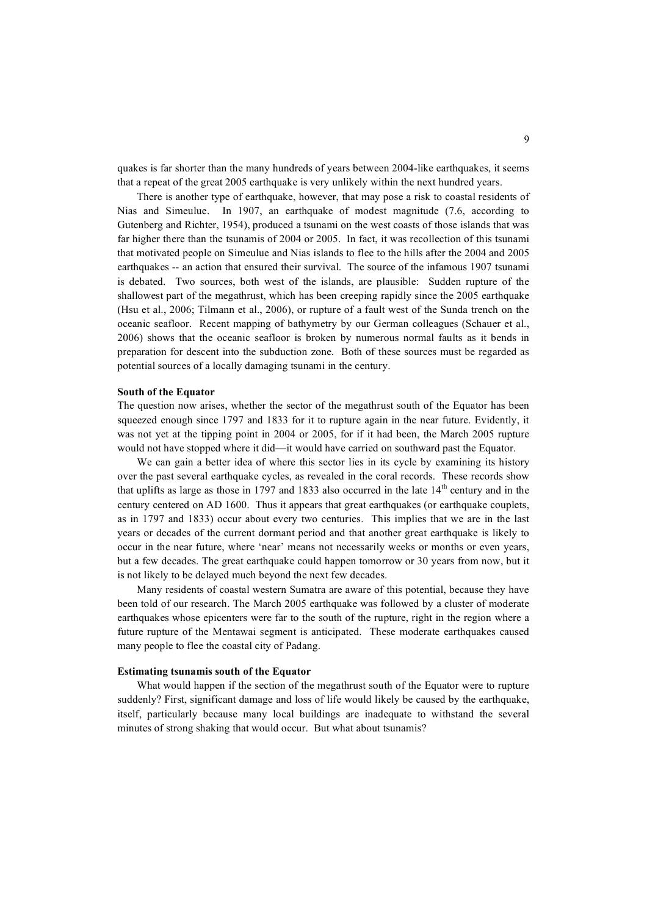quakes is far shorter than the many hundreds of years between 2004-like earthquakes, it seems that a repeat of the great 2005 earthquake is very unlikely within the next hundred years.

There is another type of earthquake, however, that may pose a risk to coastal residents of Nias and Simeulue. In 1907, an earthquake of modest magnitude (7.6, according to Gutenberg and Richter, 1954), produced a tsunami on the west coasts of those islands that was far higher there than the tsunamis of 2004 or 2005. In fact, it was recollection of this tsunami that motivated people on Simeulue and Nias islands to flee to the hills after the 2004 and 2005 earthquakes -- an action that ensured their survival. The source of the infamous 1907 tsunami is debated. Two sources, both west of the islands, are plausible: Sudden rupture of the shallowest part of the megathrust, which has been creeping rapidly since the 2005 earthquake (Hsu et al., 2006; Tilmann et al., 2006), or rupture of a fault west of the Sunda trench on the oceanic seafloor. Recent mapping of bathymetry by our German colleagues (Schauer et al., 2006) shows that the oceanic seafloor is broken by numerous normal faults as it bends in preparation for descent into the subduction zone. Both of these sources must be regarded as potential sources of a locally damaging tsunami in the century.

#### **South of the Equator**

The question now arises, whether the sector of the megathrust south of the Equator has been squeezed enough since 1797 and 1833 for it to rupture again in the near future. Evidently, it was not yet at the tipping point in 2004 or 2005, for if it had been, the March 2005 rupture would not have stopped where it did—it would have carried on southward past the Equator.

We can gain a better idea of where this sector lies in its cycle by examining its history over the past several earthquake cycles, as revealed in the coral records. These records show that uplifts as large as those in 1797 and 1833 also occurred in the late  $14<sup>th</sup>$  century and in the century centered on AD 1600. Thus it appears that great earthquakes (or earthquake couplets, as in 1797 and 1833) occur about every two centuries. This implies that we are in the last years or decades of the current dormant period and that another great earthquake is likely to occur in the near future, where 'near' means not necessarily weeks or months or even years, but a few decades. The great earthquake could happen tomorrow or 30 years from now, but it is not likely to be delayed much beyond the next few decades.

Many residents of coastal western Sumatra are aware of this potential, because they have been told of our research. The March 2005 earthquake was followed by a cluster of moderate earthquakes whose epicenters were far to the south of the rupture, right in the region where a future rupture of the Mentawai segment is anticipated. These moderate earthquakes caused many people to flee the coastal city of Padang.

### **Estimating tsunamis south of the Equator**

What would happen if the section of the megathrust south of the Equator were to rupture suddenly? First, significant damage and loss of life would likely be caused by the earthquake, itself, particularly because many local buildings are inadequate to withstand the several minutes of strong shaking that would occur. But what about tsunamis?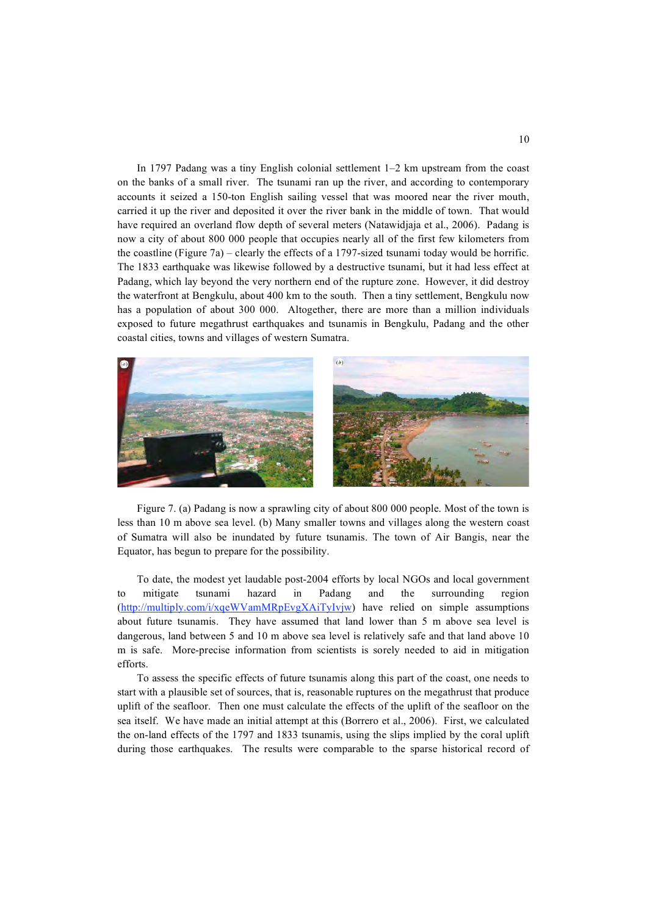In 1797 Padang was a tiny English colonial settlement 1–2 km upstream from the coast on the banks of a small river. The tsunami ran up the river, and according to contemporary accounts it seized a 150-ton English sailing vessel that was moored near the river mouth, carried it up the river and deposited it over the river bank in the middle of town. That would have required an overland flow depth of several meters (Natawidjaja et al., 2006). Padang is now a city of about 800 000 people that occupies nearly all of the first few kilometers from the coastline (Figure 7a) – clearly the effects of a 1797-sized tsunami today would be horrific. The 1833 earthquake was likewise followed by a destructive tsunami, but it had less effect at Padang, which lay beyond the very northern end of the rupture zone. However, it did destroy the waterfront at Bengkulu, about 400 km to the south. Then a tiny settlement, Bengkulu now has a population of about 300 000. Altogether, there are more than a million individuals exposed to future megathrust earthquakes and tsunamis in Bengkulu, Padang and the other coastal cities, towns and villages of western Sumatra.

![](_page_9_Picture_1.jpeg)

Figure 7. (a) Padang is now a sprawling city of about 800 000 people. Most of the town is less than 10 m above sea level. (b) Many smaller towns and villages along the western coast of Sumatra will also be inundated by future tsunamis. The town of Air Bangis, near the Equator, has begun to prepare for the possibility.

To date, the modest yet laudable post-2004 efforts by local NGOs and local government to mitigate tsunami hazard in Padang and the surrounding region (http://multiply.com/i/xqeWVamMRpEvgXAiTyIvjw) have relied on simple assumptions about future tsunamis. They have assumed that land lower than 5 m above sea level is dangerous, land between 5 and 10 m above sea level is relatively safe and that land above 10 m is safe. More-precise information from scientists is sorely needed to aid in mitigation efforts.

To assess the specific effects of future tsunamis along this part of the coast, one needs to start with a plausible set of sources, that is, reasonable ruptures on the megathrust that produce uplift of the seafloor. Then one must calculate the effects of the uplift of the seafloor on the sea itself. We have made an initial attempt at this (Borrero et al., 2006). First, we calculated the on-land effects of the 1797 and 1833 tsunamis, using the slips implied by the coral uplift during those earthquakes. The results were comparable to the sparse historical record of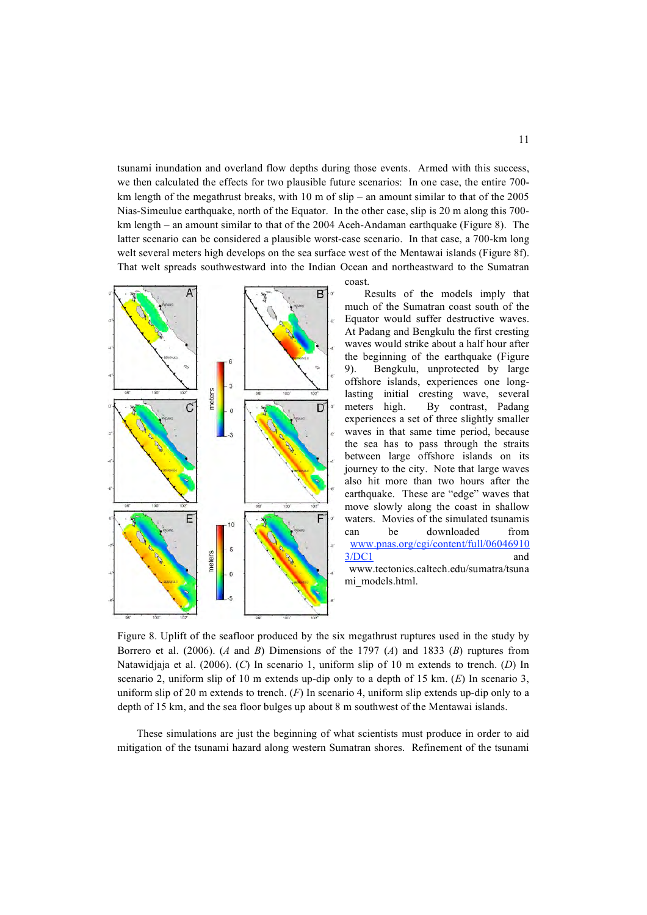tsunami inundation and overland flow depths during those events. Armed with this success, we then calculated the effects for two plausible future scenarios: In one case, the entire 700 km length of the megathrust breaks, with  $10 \text{ m}$  of slip – an amount similar to that of the 2005 Nias-Simeulue earthquake, north of the Equator. In the other case, slip is 20 m along this 700 km length – an amount similar to that of the 2004 Aceh-Andaman earthquake (Figure 8). The latter scenario can be considered a plausible worst-case scenario. In that case, a 700-km long welt several meters high develops on the sea surface west of the Mentawai islands (Figure 8f). That welt spreads southwestward into the Indian Ocean and northeastward to the Sumatran

![](_page_10_Figure_1.jpeg)

coast.

Results of the models imply that much of the Sumatran coast south of the Equator would suffer destructive waves. At Padang and Bengkulu the first cresting waves would strike about a half hour after the beginning of the earthquake (Figure 9). Bengkulu, unprotected by large offshore islands, experiences one longlasting initial cresting wave, several meters high. By contrast, Padang experiences a set of three slightly smaller waves in that same time period, because the sea has to pass through the straits between large offshore islands on its journey to the city. Note that large waves also hit more than two hours after the earthquake. These are "edge" waves that move slowly along the coast in shallow waters. Movies of the simulated tsunamis can be downloaded from www.pnas.org/cgi/content/full/06046910  $3/DC1$  and www.tectonics.caltech.edu/sumatra/tsuna

mi\_models.html.

Figure 8. Uplift of the seafloor produced by the six megathrust ruptures used in the study by Borrero et al. (2006). (*A* and *B*) Dimensions of the 1797 (*A*) and 1833 (*B*) ruptures from Natawidjaja et al. (2006). (*C*) In scenario 1, uniform slip of 10 m extends to trench. (*D*) In scenario 2, uniform slip of 10 m extends up-dip only to a depth of 15 km. (*E*) In scenario 3, uniform slip of 20 m extends to trench. (*F*) In scenario 4, uniform slip extends up-dip only to a depth of 15 km, and the sea floor bulges up about 8 m southwest of the Mentawai islands.

These simulations are just the beginning of what scientists must produce in order to aid mitigation of the tsunami hazard along western Sumatran shores. Refinement of the tsunami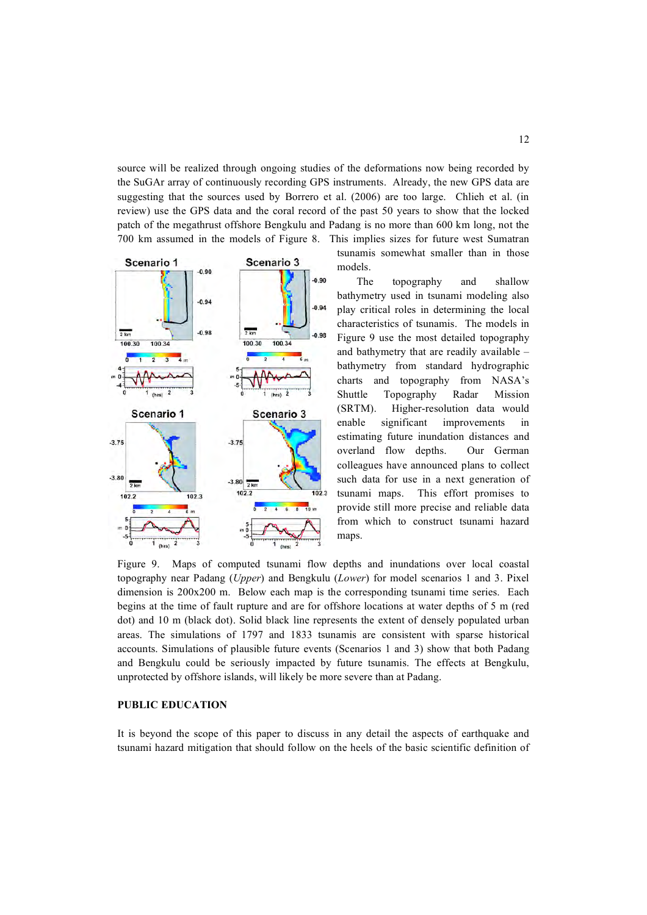source will be realized through ongoing studies of the deformations now being recorded by the SuGAr array of continuously recording GPS instruments. Already, the new GPS data are suggesting that the sources used by Borrero et al. (2006) are too large. Chlieh et al. (in review) use the GPS data and the coral record of the past 50 years to show that the locked patch of the megathrust offshore Bengkulu and Padang is no more than 600 km long, not the 700 km assumed in the models of Figure 8. This implies sizes for future west Sumatran

![](_page_11_Figure_1.jpeg)

tsunamis somewhat smaller than in those models.

The topography and shallow bathymetry used in tsunami modeling also play critical roles in determining the local characteristics of tsunamis. The models in Figure 9 use the most detailed topography and bathymetry that are readily available – bathymetry from standard hydrographic charts and topography from NASA's Shuttle Topography Radar Mission (SRTM). Higher-resolution data would enable significant improvements in estimating future inundation distances and overland flow depths. Our German colleagues have announced plans to collect such data for use in a next generation of tsunami maps. This effort promises to provide still more precise and reliable data from which to construct tsunami hazard maps.

Figure 9. Maps of computed tsunami flow depths and inundations over local coastal topography near Padang (*Upper*) and Bengkulu (*Lower*) for model scenarios 1 and 3. Pixel dimension is 200x200 m. Below each map is the corresponding tsunami time series. Each begins at the time of fault rupture and are for offshore locations at water depths of 5 m (red dot) and 10 m (black dot). Solid black line represents the extent of densely populated urban areas. The simulations of 1797 and 1833 tsunamis are consistent with sparse historical accounts. Simulations of plausible future events (Scenarios 1 and 3) show that both Padang and Bengkulu could be seriously impacted by future tsunamis. The effects at Bengkulu, unprotected by offshore islands, will likely be more severe than at Padang.

## **PUBLIC EDUCATION**

It is beyond the scope of this paper to discuss in any detail the aspects of earthquake and tsunami hazard mitigation that should follow on the heels of the basic scientific definition of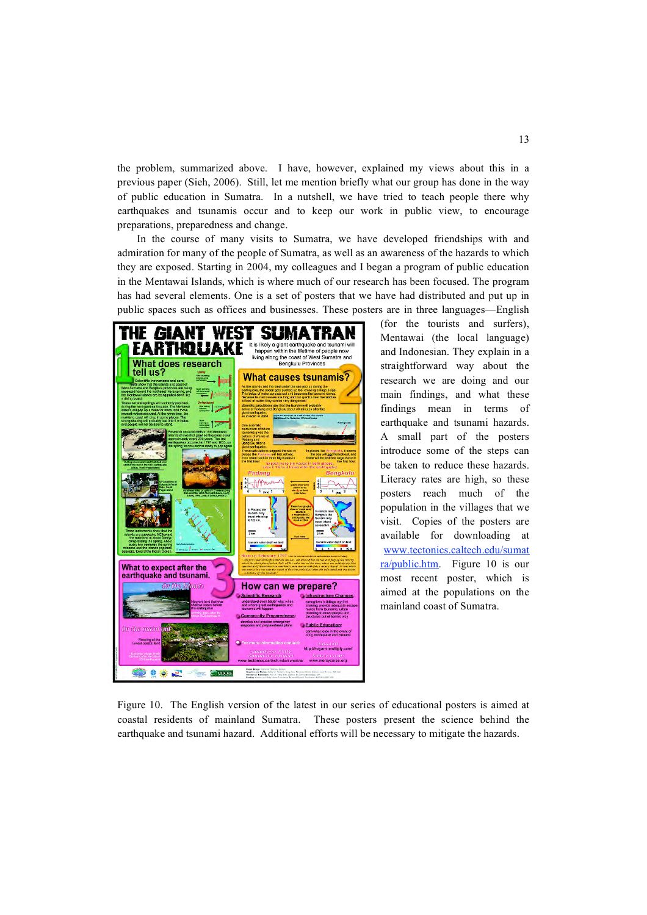the problem, summarized above. I have, however, explained my views about this in a previous paper (Sieh, 2006). Still, let me mention briefly what our group has done in the way of public education in Sumatra. In a nutshell, we have tried to teach people there why earthquakes and tsunamis occur and to keep our work in public view, to encourage preparations, preparedness and change.

In the course of many visits to Sumatra, we have developed friendships with and admiration for many of the people of Sumatra, as well as an awareness of the hazards to which they are exposed. Starting in 2004, my colleagues and I began a program of public education in the Mentawai Islands, which is where much of our research has been focused. The program has had several elements. One is a set of posters that we have had distributed and put up in public spaces such as offices and businesses. These posters are in three languages—English

![](_page_12_Picture_2.jpeg)

(for the tourists and surfers), Mentawai (the local language) and Indonesian. They explain in a straightforward way about the research we are doing and our main findings, and what these findings mean in terms of earthquake and tsunami hazards. A small part of the posters introduce some of the steps can be taken to reduce these hazards. Literacy rates are high, so these posters reach much of the population in the villages that we visit. Copies of the posters are available for downloading at www.tectonics.caltech.edu/sumat ra/public.htm. Figure 10 is our most recent poster, which is aimed at the populations on the mainland coast of Sumatra.

Figure 10. The English version of the latest in our series of educational posters is aimed at coastal residents of mainland Sumatra. These posters present the science behind the earthquake and tsunami hazard. Additional efforts will be necessary to mitigate the hazards.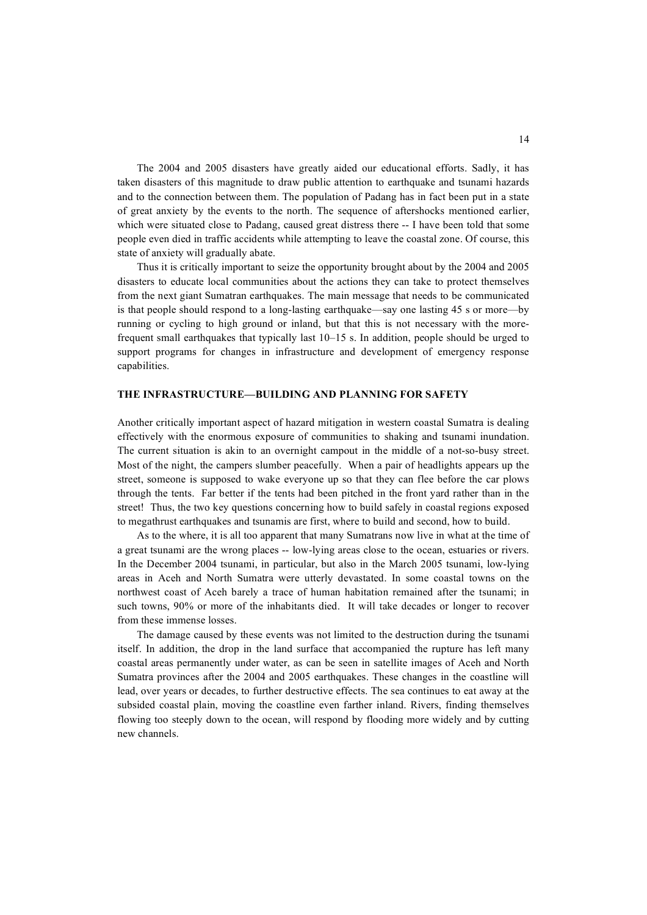The 2004 and 2005 disasters have greatly aided our educational efforts. Sadly, it has taken disasters of this magnitude to draw public attention to earthquake and tsunami hazards and to the connection between them. The population of Padang has in fact been put in a state of great anxiety by the events to the north. The sequence of aftershocks mentioned earlier, which were situated close to Padang, caused great distress there -- I have been told that some people even died in traffic accidents while attempting to leave the coastal zone. Of course, this state of anxiety will gradually abate.

Thus it is critically important to seize the opportunity brought about by the 2004 and 2005 disasters to educate local communities about the actions they can take to protect themselves from the next giant Sumatran earthquakes. The main message that needs to be communicated is that people should respond to a long-lasting earthquake—say one lasting 45 s or more—by running or cycling to high ground or inland, but that this is not necessary with the morefrequent small earthquakes that typically last 10–15 s. In addition, people should be urged to support programs for changes in infrastructure and development of emergency response capabilities.

## **THE INFRASTRUCTURE—BUILDING AND PLANNING FOR SAFETY**

Another critically important aspect of hazard mitigation in western coastal Sumatra is dealing effectively with the enormous exposure of communities to shaking and tsunami inundation. The current situation is akin to an overnight campout in the middle of a not-so-busy street. Most of the night, the campers slumber peacefully. When a pair of headlights appears up the street, someone is supposed to wake everyone up so that they can flee before the car plows through the tents. Far better if the tents had been pitched in the front yard rather than in the street! Thus, the two key questions concerning how to build safely in coastal regions exposed to megathrust earthquakes and tsunamis are first, where to build and second, how to build.

As to the where, it is all too apparent that many Sumatrans now live in what at the time of a great tsunami are the wrong places -- low-lying areas close to the ocean, estuaries or rivers. In the December 2004 tsunami, in particular, but also in the March 2005 tsunami, low-lying areas in Aceh and North Sumatra were utterly devastated. In some coastal towns on the northwest coast of Aceh barely a trace of human habitation remained after the tsunami; in such towns, 90% or more of the inhabitants died. It will take decades or longer to recover from these immense losses.

The damage caused by these events was not limited to the destruction during the tsunami itself. In addition, the drop in the land surface that accompanied the rupture has left many coastal areas permanently under water, as can be seen in satellite images of Aceh and North Sumatra provinces after the 2004 and 2005 earthquakes. These changes in the coastline will lead, over years or decades, to further destructive effects. The sea continues to eat away at the subsided coastal plain, moving the coastline even farther inland. Rivers, finding themselves flowing too steeply down to the ocean, will respond by flooding more widely and by cutting new channels.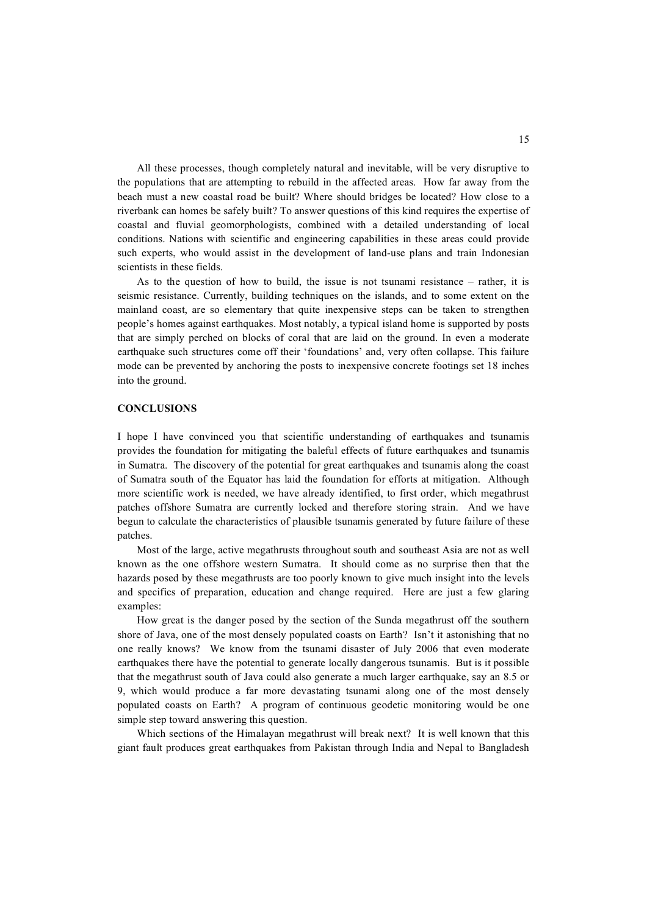All these processes, though completely natural and inevitable, will be very disruptive to the populations that are attempting to rebuild in the affected areas. How far away from the beach must a new coastal road be built? Where should bridges be located? How close to a riverbank can homes be safely built? To answer questions of this kind requires the expertise of coastal and fluvial geomorphologists, combined with a detailed understanding of local conditions. Nations with scientific and engineering capabilities in these areas could provide such experts, who would assist in the development of land-use plans and train Indonesian scientists in these fields.

As to the question of how to build, the issue is not tsunami resistance – rather, it is seismic resistance. Currently, building techniques on the islands, and to some extent on the mainland coast, are so elementary that quite inexpensive steps can be taken to strengthen people's homes against earthquakes. Most notably, a typical island home is supported by posts that are simply perched on blocks of coral that are laid on the ground. In even a moderate earthquake such structures come off their 'foundations' and, very often collapse. This failure mode can be prevented by anchoring the posts to inexpensive concrete footings set 18 inches into the ground.

## **CONCLUSIONS**

I hope I have convinced you that scientific understanding of earthquakes and tsunamis provides the foundation for mitigating the baleful effects of future earthquakes and tsunamis in Sumatra. The discovery of the potential for great earthquakes and tsunamis along the coast of Sumatra south of the Equator has laid the foundation for efforts at mitigation. Although more scientific work is needed, we have already identified, to first order, which megathrust patches offshore Sumatra are currently locked and therefore storing strain. And we have begun to calculate the characteristics of plausible tsunamis generated by future failure of these patches.

Most of the large, active megathrusts throughout south and southeast Asia are not as well known as the one offshore western Sumatra. It should come as no surprise then that the hazards posed by these megathrusts are too poorly known to give much insight into the levels and specifics of preparation, education and change required. Here are just a few glaring examples:

How great is the danger posed by the section of the Sunda megathrust off the southern shore of Java, one of the most densely populated coasts on Earth? Isn't it astonishing that no one really knows? We know from the tsunami disaster of July 2006 that even moderate earthquakes there have the potential to generate locally dangerous tsunamis. But is it possible that the megathrust south of Java could also generate a much larger earthquake, say an 8.5 or 9, which would produce a far more devastating tsunami along one of the most densely populated coasts on Earth? A program of continuous geodetic monitoring would be one simple step toward answering this question.

Which sections of the Himalayan megathrust will break next? It is well known that this giant fault produces great earthquakes from Pakistan through India and Nepal to Bangladesh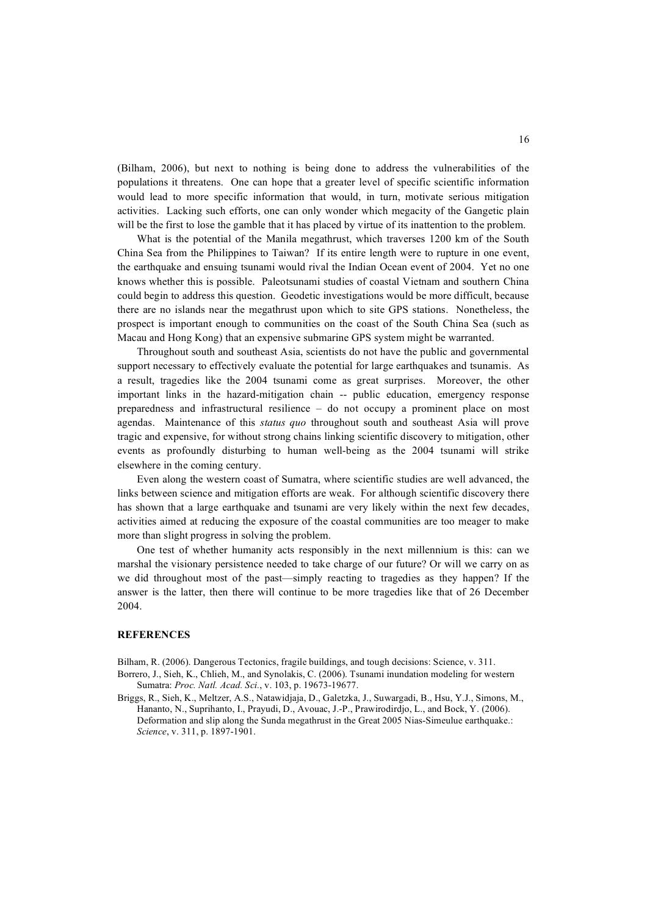(Bilham, 2006), but next to nothing is being done to address the vulnerabilities of the populations it threatens. One can hope that a greater level of specific scientific information would lead to more specific information that would, in turn, motivate serious mitigation activities. Lacking such efforts, one can only wonder which megacity of the Gangetic plain will be the first to lose the gamble that it has placed by virtue of its inattention to the problem.

What is the potential of the Manila megathrust, which traverses 1200 km of the South China Sea from the Philippines to Taiwan? If its entire length were to rupture in one event, the earthquake and ensuing tsunami would rival the Indian Ocean event of 2004. Yet no one knows whether this is possible. Paleotsunami studies of coastal Vietnam and southern China could begin to address this question. Geodetic investigations would be more difficult, because there are no islands near the megathrust upon which to site GPS stations. Nonetheless, the prospect is important enough to communities on the coast of the South China Sea (such as Macau and Hong Kong) that an expensive submarine GPS system might be warranted.

Throughout south and southeast Asia, scientists do not have the public and governmental support necessary to effectively evaluate the potential for large earthquakes and tsunamis. As a result, tragedies like the 2004 tsunami come as great surprises. Moreover, the other important links in the hazard-mitigation chain -- public education, emergency response preparedness and infrastructural resilience – do not occupy a prominent place on most agendas. Maintenance of this *status quo* throughout south and southeast Asia will prove tragic and expensive, for without strong chains linking scientific discovery to mitigation, other events as profoundly disturbing to human well-being as the 2004 tsunami will strike elsewhere in the coming century.

Even along the western coast of Sumatra, where scientific studies are well advanced, the links between science and mitigation efforts are weak. For although scientific discovery there has shown that a large earthquake and tsunami are very likely within the next few decades, activities aimed at reducing the exposure of the coastal communities are too meager to make more than slight progress in solving the problem.

One test of whether humanity acts responsibly in the next millennium is this: can we marshal the visionary persistence needed to take charge of our future? Or will we carry on as we did throughout most of the past—simply reacting to tragedies as they happen? If the answer is the latter, then there will continue to be more tragedies like that of 26 December 2004.

### **REFERENCES**

Bilham, R. (2006). Dangerous Tectonics, fragile buildings, and tough decisions: Science, v. 311.

- Borrero, J., Sieh, K., Chlieh, M., and Synolakis, C. (2006). Tsunami inundation modeling for western Sumatra: *Proc. Natl. Acad. Sci.*, v. 103, p. 19673-19677.
- Briggs, R., Sieh, K., Meltzer, A.S., Natawidjaja, D., Galetzka, J., Suwargadi, B., Hsu, Y.J., Simons, M., Hananto, N., Suprihanto, I., Prayudi, D., Avouac, J.-P., Prawirodirdjo, L., and Bock, Y. (2006). Deformation and slip along the Sunda megathrust in the Great 2005 Nias-Simeulue earthquake.: *Science*, v. 311, p. 1897-1901.